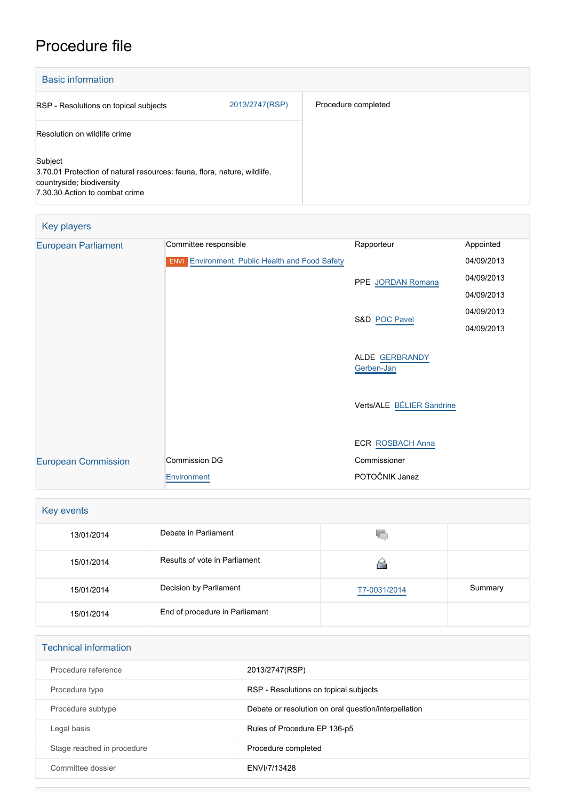## Procedure file

| <b>Basic information</b>                                                                                                                           |                |                     |
|----------------------------------------------------------------------------------------------------------------------------------------------------|----------------|---------------------|
| RSP - Resolutions on topical subjects                                                                                                              | 2013/2747(RSP) | Procedure completed |
| Resolution on wildlife crime                                                                                                                       |                |                     |
| Subject<br>3.70.01 Protection of natural resources: fauna, flora, nature, wildlife,<br>countryside; biodiversity<br>7.30.30 Action to combat crime |                |                     |

| Key players                |                                                        |                              |            |
|----------------------------|--------------------------------------------------------|------------------------------|------------|
| <b>European Parliament</b> | Committee responsible                                  | Rapporteur                   | Appointed  |
|                            | <b>ENVI</b> Environment, Public Health and Food Safety |                              | 04/09/2013 |
|                            |                                                        | PPE JORDAN Romana            | 04/09/2013 |
|                            |                                                        |                              | 04/09/2013 |
|                            |                                                        | S&D POC Pavel                | 04/09/2013 |
|                            |                                                        |                              | 04/09/2013 |
|                            |                                                        | ALDE GERBRANDY<br>Gerben-Jan |            |
|                            |                                                        | Verts/ALE BÉLIER Sandrine    |            |
|                            |                                                        |                              |            |
|                            |                                                        | <b>ECR ROSBACH Anna</b>      |            |
| <b>European Commission</b> | Commission DG                                          | Commissioner                 |            |
|                            | Environment                                            | POTOČNIK Janez               |            |

| Key events |                                |              |         |  |
|------------|--------------------------------|--------------|---------|--|
| 13/01/2014 | Debate in Parliament           | Y.           |         |  |
| 15/01/2014 | Results of vote in Parliament  |              |         |  |
| 15/01/2014 | Decision by Parliament         | T7-0031/2014 | Summary |  |
| 15/01/2014 | End of procedure in Parliament |              |         |  |

| <b>Technical information</b> |                                                      |  |  |
|------------------------------|------------------------------------------------------|--|--|
| Procedure reference          | 2013/2747(RSP)                                       |  |  |
| Procedure type               | RSP - Resolutions on topical subjects                |  |  |
| Procedure subtype            | Debate or resolution on oral question/interpellation |  |  |
| Legal basis                  | Rules of Procedure EP 136-p5                         |  |  |
| Stage reached in procedure   | Procedure completed                                  |  |  |
| Committee dossier            | ENVI/7/13428                                         |  |  |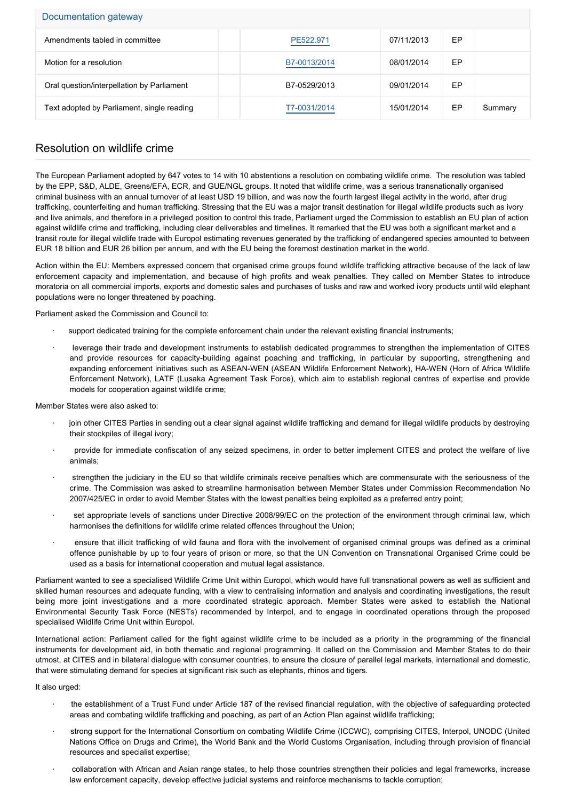| Documentation gateway                      |              |            |    |         |  |
|--------------------------------------------|--------------|------------|----|---------|--|
| Amendments tabled in committee             | PE522.971    | 07/11/2013 | EP |         |  |
| Motion for a resolution                    | B7-0013/2014 | 08/01/2014 | EP |         |  |
| Oral question/interpellation by Parliament | B7-0529/2013 | 09/01/2014 | EP |         |  |
| Text adopted by Parliament, single reading | T7-0031/2014 | 15/01/2014 | EP | Summary |  |

## Resolution on wildlife crime

The European Parliament adopted by 647 votes to 14 with 10 abstentions a resolution on combating wildlife crime. The resolution was tabled by the EPP, S&D, ALDE, Greens/EFA, ECR, and GUE/NGL groups. It noted that wildlife crime, was a serious transnationally organised criminal business with an annual turnover of at least USD 19 billion, and was now the fourth largest illegal activity in the world, after drug trafficking, counterfeiting and human trafficking. Stressing that the EU was a major transit destination for illegal wildlife products such as ivory and live animals, and therefore in a privileged position to control this trade, Parliament urged the Commission to establish an EU plan of action against wildlife crime and trafficking, including clear deliverables and timelines. It remarked that the EU was both a significant market and a transit route for illegal wildlife trade with Europol estimating revenues generated by the trafficking of endangered species amounted to between EUR 18 billion and EUR 26 billion per annum, and with the EU being the foremost destination market in the world.

Action within the EU: Members expressed concern that organised crime groups found wildlife trafficking attractive because of the lack of law enforcement capacity and implementation, and because of high profits and weak penalties. They called on Member States to introduce moratoria on all commercial imports, exports and domestic sales and purchases of tusks and raw and worked ivory products until wild elephant populations were no longer threatened by poaching.

Parliament asked the Commission and Council to:

- support dedicated training for the complete enforcement chain under the relevant existing financial instruments;
- leverage their trade and development instruments to establish dedicated programmes to strengthen the implementation of CITES and provide resources for capacity-building against poaching and trafficking, in particular by supporting, strengthening and expanding enforcement initiatives such as ASEAN-WEN (ASEAN Wildlife Enforcement Network), HA-WEN (Horn of Africa Wildlife Enforcement Network), LATF (Lusaka Agreement Task Force), which aim to establish regional centres of expertise and provide models for cooperation against wildlife crime;

Member States were also asked to:

- join other CITES Parties in sending out a clear signal against wildlife trafficking and demand for illegal wildlife products by destroying their stockpiles of illegal ivory;
- · provide for immediate confiscation of any seized specimens, in order to better implement CITES and protect the welfare of live animals;
- strengthen the judiciary in the EU so that wildlife criminals receive penalties which are commensurate with the seriousness of the crime. The Commission was asked to streamline harmonisation between Member States under Commission Recommendation No 2007/425/EC in order to avoid Member States with the lowest penalties being exploited as a preferred entry point;
- set appropriate levels of sanctions under Directive 2008/99/EC on the protection of the environment through criminal law, which harmonises the definitions for wildlife crime related offences throughout the Union;
- · ensure that illicit trafficking of wild fauna and flora with the involvement of organised criminal groups was defined as a criminal offence punishable by up to four years of prison or more, so that the UN Convention on Transnational Organised Crime could be used as a basis for international cooperation and mutual legal assistance.

Parliament wanted to see a specialised Wildlife Crime Unit within Europol, which would have full transnational powers as well as sufficient and skilled human resources and adequate funding, with a view to centralising information and analysis and coordinating investigations, the result being more joint investigations and a more coordinated strategic approach. Member States were asked to establish the National Environmental Security Task Force (NESTs) recommended by Interpol, and to engage in coordinated operations through the proposed specialised Wildlife Crime Unit within Europol.

International action: Parliament called for the fight against wildlife crime to be included as a priority in the programming of the financial instruments for development aid, in both thematic and regional programming. It called on the Commission and Member States to do their utmost, at CITES and in bilateral dialogue with consumer countries, to ensure the closure of parallel legal markets, international and domestic, that were stimulating demand for species at significant risk such as elephants, rhinos and tigers.

It also urged:

- · the establishment of a Trust Fund under Article 187 of the revised financial regulation, with the objective of safeguarding protected areas and combating wildlife trafficking and poaching, as part of an Action Plan against wildlife trafficking;
- · strong support for the International Consortium on combating Wildlife Crime (ICCWC), comprising CITES, Interpol, UNODC (United Nations Office on Drugs and Crime), the World Bank and the World Customs Organisation, including through provision of financial resources and specialist expertise;
- · collaboration with African and Asian range states, to help those countries strengthen their policies and legal frameworks, increase law enforcement capacity, develop effective judicial systems and reinforce mechanisms to tackle corruption;